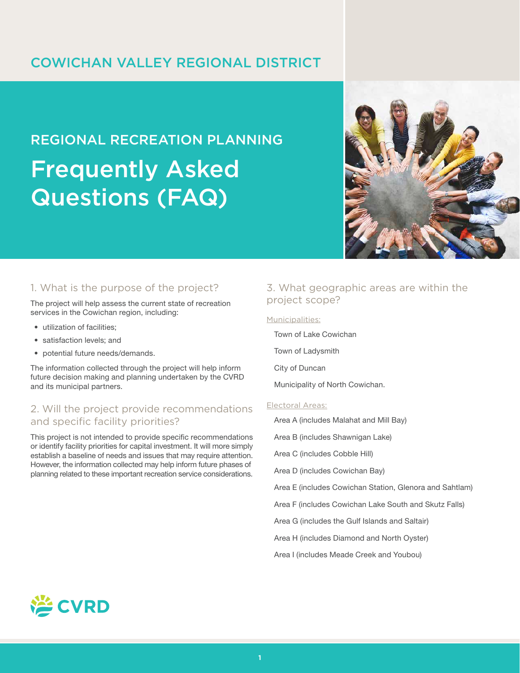## COWICHAN VALLEY REGIONAL DISTRICT

# REGIONAL RECREATION PLANNING Frequently Asked Questions (FAQ)



## 1. What is the purpose of the project?

The project will help assess the current state of recreation services in the Cowichan region, including:

- utilization of facilities;
- satisfaction levels; and
- potential future needs/demands.

The information collected through the project will help inform future decision making and planning undertaken by the CVRD and its municipal partners.

## 2. Will the project provide recommendations and specific facility priorities?

This project is not intended to provide specific recommendations or identify facility priorities for capital investment. It will more simply establish a baseline of needs and issues that may require attention. However, the information collected may help inform future phases of planning related to these important recreation service considerations.

## 3. What geographic areas are within the project scope?

#### Municipalities:

Town of Lake Cowichan

Town of Ladysmith

City of Duncan

Municipality of North Cowichan.

#### Electoral Areas:

Area A (includes Malahat and Mill Bay)

Area B (includes Shawnigan Lake)

Area C (includes Cobble Hill)

Area D (includes Cowichan Bay)

Area E (includes Cowichan Station, Glenora and Sahtlam)

Area F (includes Cowichan Lake South and Skutz Falls)

Area G (includes the Gulf Islands and Saltair)

Area H (includes Diamond and North Oyster)

Area I (includes Meade Creek and Youbou)